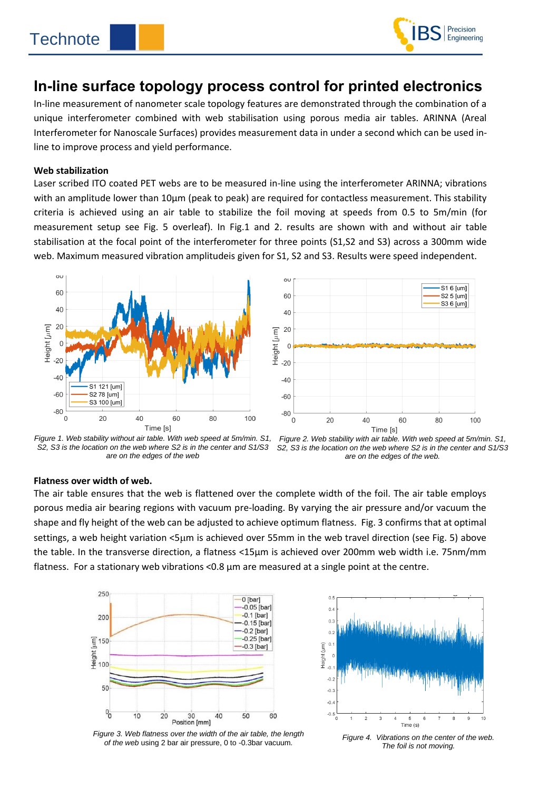l



# **In-line surface topology process control for printed electronics**

In-line measurement of nanometer scale topology features are demonstrated through the combination of a unique interferometer combined with web stabilisation using porous media air tables. ARINNA (Areal Interferometer for Nanoscale Surfaces) provides measurement data in under a second which can be used inline to improve process and yield performance.

#### **Web stabilization**

Laser scribed ITO coated PET webs are to be measured in-line using the interferometer ARINNA; vibrations with an amplitude lower than 10µm (peak to peak) are required for contactless measurement. This stability criteria is achieved using an air table to stabilize the foil moving at speeds from 0.5 to 5m/min (for measurement setup see Fig. 5 overleaf). In Fig.1 and 2. results are shown with and without air table stabilisation at the focal point of the interferometer for three points (S1,S2 and S3) across a 300mm wide web. Maximum measured vibration amplitudeis given for S1, S2 and S3. Results were speed independent.





*Figure 1. Web stability without air table. With web speed at 5m/min. S1, S2, S3 is the location on the web where S2 is in the center and S1/S3 are on the edges of the web*



#### **Flatness over width of web.**

The air table ensures that the web is flattened over the complete width of the foil. The air table employs porous media air bearing regions with vacuum pre-loading. By varying the air pressure and/or vacuum the shape and fly height of the web can be adjusted to achieve optimum flatness. Fig. 3 confirms that at optimal settings, a web height variation <5µm is achieved over 55mm in the web travel direction (see Fig. 5) above the table. In the transverse direction, a flatness <15µm is achieved over 200mm web width i.e. 75nm/mm flatness. For a stationary web vibrations < 0.8  $\mu$ m are measured at a single point at the centre.



*Figure 3. Web flatness over the width of the air table, the length of the web* using 2 bar air pressure, 0 to -0.3bar vacuum*.*



*Figure 4. Vibrations on the center of the web. The foil is not moving.*